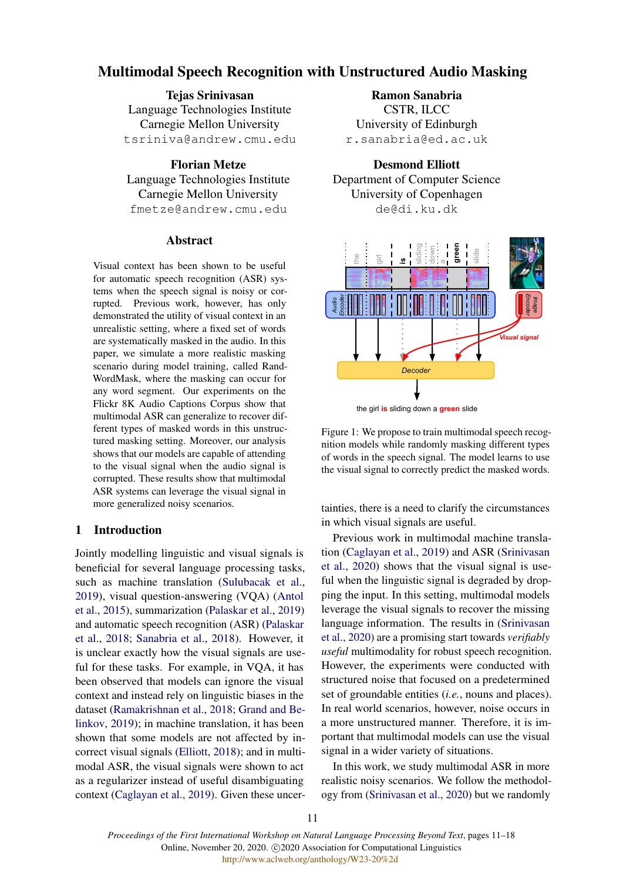# Multimodal Speech Recognition with Unstructured Audio Masking

Tejas Srinivasan Language Technologies Institute Carnegie Mellon University tsriniva@andrew.cmu.edu

Florian Metze Language Technologies Institute Carnegie Mellon University fmetze@andrew.cmu.edu

# Abstract

Visual context has been shown to be useful for automatic speech recognition (ASR) systems when the speech signal is noisy or corrupted. Previous work, however, has only demonstrated the utility of visual context in an unrealistic setting, where a fixed set of words are systematically masked in the audio. In this paper, we simulate a more realistic masking scenario during model training, called Rand-WordMask, where the masking can occur for any word segment. Our experiments on the Flickr 8K Audio Captions Corpus show that multimodal ASR can generalize to recover different types of masked words in this unstructured masking setting. Moreover, our analysis shows that our models are capable of attending to the visual signal when the audio signal is corrupted. These results show that multimodal ASR systems can leverage the visual signal in more generalized noisy scenarios.

# 1 Introduction

Jointly modelling linguistic and visual signals is beneficial for several language processing tasks, such as machine translation [\(Sulubacak et al.,](#page-7-0) [2019\)](#page-7-0), visual question-answering (VQA) [\(Antol](#page-6-0) [et al.,](#page-6-0) [2015\)](#page-6-0), summarization [\(Palaskar et al.,](#page-7-1) [2019\)](#page-7-1) and automatic speech recognition (ASR) [\(Palaskar](#page-7-2) [et al.,](#page-7-2) [2018;](#page-7-2) [Sanabria et al.,](#page-7-3) [2018\)](#page-7-3). However, it is unclear exactly how the visual signals are useful for these tasks. For example, in VQA, it has been observed that models can ignore the visual context and instead rely on linguistic biases in the dataset [\(Ramakrishnan et al.,](#page-7-4) [2018;](#page-7-4) [Grand and Be](#page-6-1)[linkov,](#page-6-1) [2019\)](#page-6-1); in machine translation, it has been shown that some models are not affected by incorrect visual signals [\(Elliott,](#page-6-2) [2018\)](#page-6-2); and in multimodal ASR, the visual signals were shown to act as a regularizer instead of useful disambiguating Visual context has been shown to be useful<br>term and context incorporation (ASR) systems (Car uncer- the context [\(Caglayan et al.,](#page-6-3) [2019\)](#page-6-3). Given the some context (Caglayan et al., 2019). Given the some context (Caglayan et

Ramon Sanabria CSTR, ILCC University of Edinburgh r.sanabria@ed.ac.uk

Desmond Elliott Department of Computer Science University of Copenhagen de@di.ku.dk

<span id="page-0-0"></span>

Figure 1: We propose to train multimodal speech recognition models while randomly masking different types of words in the speech signal. The model learns to use the visual signal to correctly predict the masked words.

tainties, there is a need to clarify the circumstances in which visual signals are useful.

Previous work in multimodal machine translation [\(Caglayan et al.,](#page-6-4) [2019\)](#page-6-4) and ASR [\(Srinivasan](#page-7-5) [et al.,](#page-7-5) [2020\)](#page-7-5) shows that the visual signal is useful when the linguistic signal is degraded by dropping the input. In this setting, multimodal models leverage the visual signals to recover the missing language information. The results in [\(Srinivasan](#page-7-5) [et al.,](#page-7-5) [2020\)](#page-7-5) are a promising start towards *verifiably useful* multimodality for robust speech recognition. However, the experiments were conducted with structured noise that focused on a predetermined set of groundable entities (*i.e.*, nouns and places). In real world scenarios, however, noise occurs in a more unstructured manner. Therefore, it is important that multimodal models can use the visual signal in a wider variety of situations.

In this work, we study multimodal ASR in more realistic noisy scenarios. We follow the methodology from [\(Srinivasan et al.,](#page-7-5) [2020\)](#page-7-5) but we randomly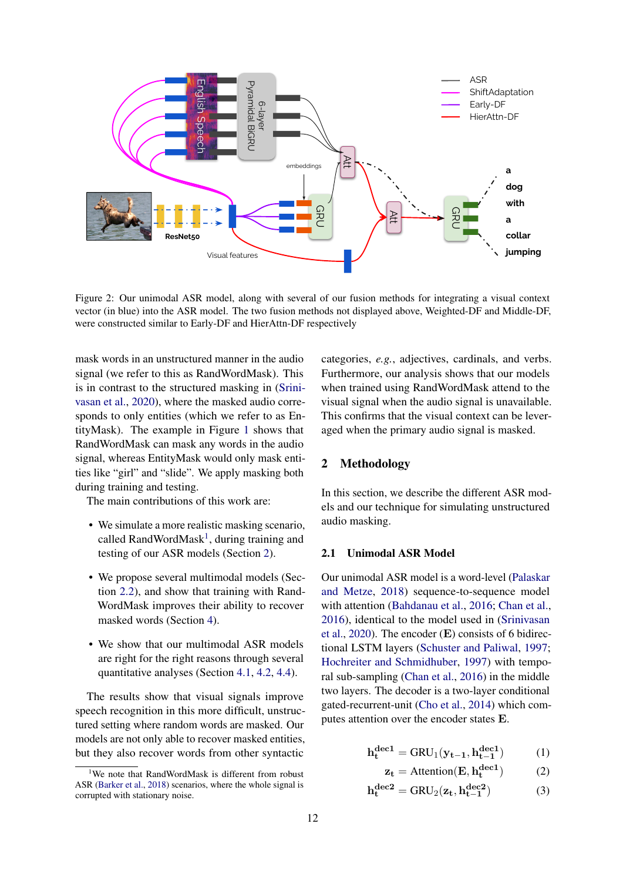

Figure 2: Our unimodal ASR model, along with several of our fusion methods for integrating a visual context vector (in blue) into the ASR model. The two fusion methods not displayed above, Weighted-DF and Middle-DF, were constructed similar to Early-DF and HierAttn-DF respectively

mask words in an unstructured manner in the audio signal (we refer to this as RandWordMask). This is in contrast to the structured masking in [\(Srini](#page-7-5)[vasan et al.,](#page-7-5) [2020\)](#page-7-5), where the masked audio corresponds to only entities (which we refer to as EntityMask). The example in Figure [1](#page-0-0) shows that RandWordMask can mask any words in the audio signal, whereas EntityMask would only mask entities like "girl" and "slide". We apply masking both during training and testing.

The main contributions of this work are:

- We simulate a more realistic masking scenario, called RandWordMask<sup>[1](#page-1-0)</sup>, during training and testing of our ASR models (Section [2\)](#page-1-1).
- We propose several multimodal models (Section [2.2\)](#page-2-0), and show that training with Rand-WordMask improves their ability to recover masked words (Section [4\)](#page-3-0).
- We show that our multimodal ASR models are right for the right reasons through several quantitative analyses (Section [4.1,](#page-4-0) [4.2,](#page-5-0) [4.4\)](#page-6-5).

The results show that visual signals improve speech recognition in this more difficult, unstructured setting where random words are masked. Our models are not only able to recover masked entities, but they also recover words from other syntactic

categories, *e.g.*, adjectives, cardinals, and verbs. Furthermore, our analysis shows that our models when trained using RandWordMask attend to the visual signal when the audio signal is unavailable. This confirms that the visual context can be leveraged when the primary audio signal is masked.

# <span id="page-1-1"></span>2 Methodology

In this section, we describe the different ASR models and our technique for simulating unstructured audio masking.

# 2.1 Unimodal ASR Model

Our unimodal ASR model is a word-level [\(Palaskar](#page-7-6) [and Metze,](#page-7-6) [2018\)](#page-7-6) sequence-to-sequence model with attention [\(Bahdanau et al.,](#page-6-7) [2016;](#page-6-7) [Chan et al.,](#page-6-8) [2016\)](#page-6-8), identical to the model used in [\(Srinivasan](#page-7-5) [et al.,](#page-7-5) [2020\)](#page-7-5). The encoder (E) consists of 6 bidirectional LSTM layers [\(Schuster and Paliwal,](#page-7-7) [1997;](#page-7-7) [Hochreiter and Schmidhuber,](#page-7-8) [1997\)](#page-7-8) with temporal sub-sampling [\(Chan et al.,](#page-6-8) [2016\)](#page-6-8) in the middle two layers. The decoder is a two-layer conditional gated-recurrent-unit [\(Cho et al.,](#page-6-9) [2014\)](#page-6-9) which computes attention over the encoder states E.

$$
\mathbf{h_t^{dec1}} = \text{GRU}_1(\mathbf{y_{t-1}}, \mathbf{h_{t-1}^{dec1}})
$$
 (1)

<span id="page-1-3"></span><span id="page-1-2"></span>
$$
z_{t} = \text{Attention}(E, h_{t}^{\text{dec1}})
$$
 (2)

$$
\mathbf{h_t^{dec2}} = \text{GRU}_2(\mathbf{z_t}, \mathbf{h_{t-1}^{dec2}}) \tag{3}
$$

<span id="page-1-0"></span><sup>&</sup>lt;sup>1</sup>We note that RandWordMask is different from robust ASR [\(Barker et al.,](#page-6-6) [2018\)](#page-6-6) scenarios, where the whole signal is corrupted with stationary noise.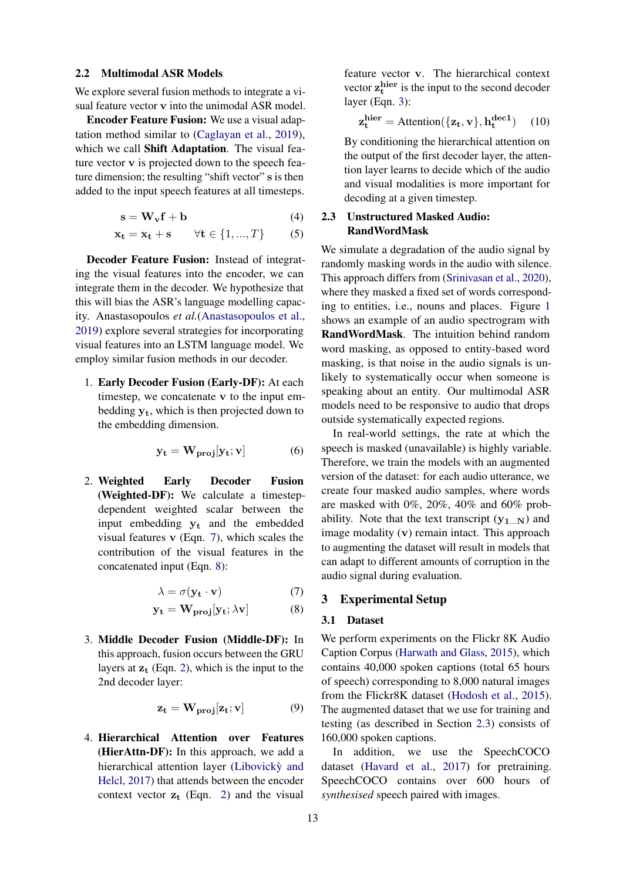#### <span id="page-2-0"></span>2.2 Multimodal ASR Models

We explore several fusion methods to integrate a visual feature vector v into the unimodal ASR model.

Encoder Feature Fusion: We use a visual adaptation method similar to [\(Caglayan et al.,](#page-6-3) [2019\)](#page-6-3), which we call Shift Adaptation. The visual feature vector v is projected down to the speech feature dimension; the resulting "shift vector" s is then added to the input speech features at all timesteps.

$$
s = W_v f + b \tag{4}
$$

$$
\mathbf{x_t} = \mathbf{x_t} + \mathbf{s} \qquad \forall \mathbf{t} \in \{1, ..., T\} \tag{5}
$$

Decoder Feature Fusion: Instead of integrating the visual features into the encoder, we can integrate them in the decoder. We hypothesize that this will bias the ASR's language modelling capacity. Anastasopoulos *et al.*[\(Anastasopoulos et al.,](#page-6-10) [2019\)](#page-6-10) explore several strategies for incorporating visual features into an LSTM language model. We employ similar fusion methods in our decoder.

1. Early Decoder Fusion (Early-DF): At each timestep, we concatenate v to the input embedding  $y_t$ , which is then projected down to the embedding dimension.

$$
y_t = W_{proj}[y_t; v] \tag{6}
$$

2. Weighted Early Decoder Fusion (Weighted-DF): We calculate a timestepdependent weighted scalar between the input embedding  $y_t$  and the embedded visual features v (Eqn. [7\)](#page-2-1), which scales the contribution of the visual features in the concatenated input (Eqn. [8\)](#page-2-2):

$$
\lambda = \sigma(\mathbf{y_t} \cdot \mathbf{v}) \tag{7}
$$

$$
y_t = W_{proj}[y_t; \lambda v]
$$
 (8)

3. Middle Decoder Fusion (Middle-DF): In this approach, fusion occurs between the GRU layers at  $z_t$  (Eqn. [2\)](#page-1-2), which is the input to the 2nd decoder layer:

$$
\mathbf{z_t} = \mathbf{W_{proj}}[\mathbf{z_t}; \mathbf{v}] \tag{9}
$$

4. Hierarchical Attention over Features (HierAttn-DF): In this approach, we add a hierarchical attention layer [\(Libovicky and](#page-7-9) [Helcl,](#page-7-9) [2017\)](#page-7-9) that attends between the encoder context vector  $z_t$  (Eqn. [2\)](#page-1-2) and the visual

feature vector v. The hierarchical context vector  $z_t^{\text{hier}}$  is the input to the second decoder layer (Eqn. [3\)](#page-1-3):

$$
\mathbf{z_t^{hier}} = \text{Attention}(\{\mathbf{z_t}, \mathbf{v}\}, \mathbf{h_t^{decl}}) \quad (10)
$$

By conditioning the hierarchical attention on the output of the first decoder layer, the attention layer learns to decide which of the audio and visual modalities is more important for decoding at a given timestep.

# <span id="page-2-3"></span>2.3 Unstructured Masked Audio: RandWordMask

We simulate a degradation of the audio signal by randomly masking words in the audio with silence. This approach differs from [\(Srinivasan et al.,](#page-7-5) [2020\)](#page-7-5), where they masked a fixed set of words corresponding to entities, i.e., nouns and places. Figure [1](#page-0-0) shows an example of an audio spectrogram with RandWordMask. The intuition behind random word masking, as opposed to entity-based word masking, is that noise in the audio signals is unlikely to systematically occur when someone is speaking about an entity. Our multimodal ASR models need to be responsive to audio that drops outside systematically expected regions.

In real-world settings, the rate at which the speech is masked (unavailable) is highly variable. Therefore, we train the models with an augmented version of the dataset: for each audio utterance, we create four masked audio samples, where words are masked with 0%, 20%, 40% and 60% probability. Note that the text transcript  $(y_{1...N})$  and image modality (v) remain intact. This approach to augmenting the dataset will result in models that can adapt to different amounts of corruption in the audio signal during evaluation.

# <span id="page-2-2"></span><span id="page-2-1"></span>3 Experimental Setup

# 3.1 Dataset

We perform experiments on the Flickr 8K Audio Caption Corpus [\(Harwath and Glass,](#page-7-10) [2015\)](#page-7-10), which contains 40,000 spoken captions (total 65 hours of speech) corresponding to 8,000 natural images from the Flickr8K dataset [\(Hodosh et al.,](#page-7-11) [2015\)](#page-7-11). The augmented dataset that we use for training and testing (as described in Section [2.3\)](#page-2-3) consists of 160,000 spoken captions.

In addition, we use the SpeechCOCO dataset [\(Havard et al.,](#page-7-12) [2017\)](#page-7-12) for pretraining. SpeechCOCO contains over 600 hours of *synthesised* speech paired with images.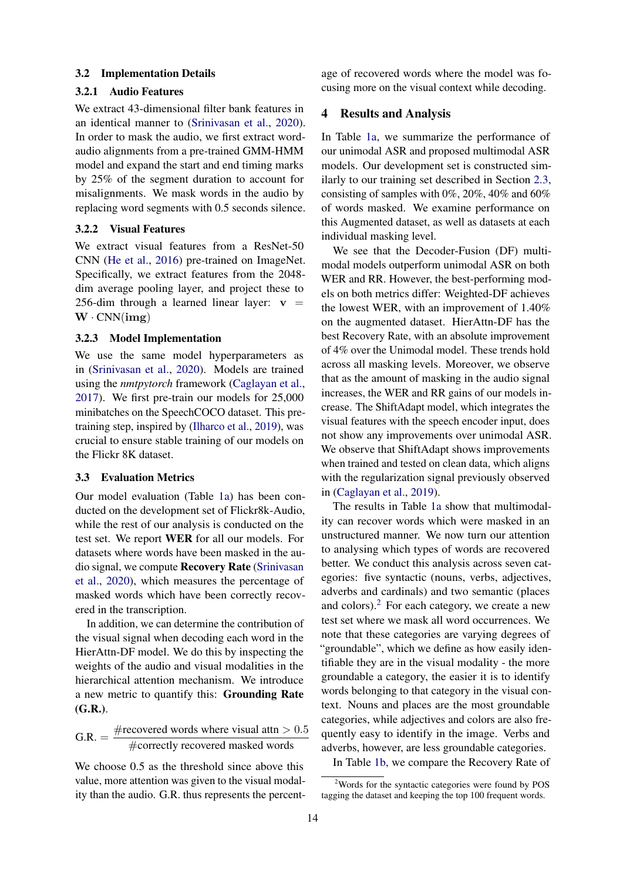### 3.2 Implementation Details

# 3.2.1 Audio Features

We extract 43-dimensional filter bank features in an identical manner to [\(Srinivasan et al.,](#page-7-5) [2020\)](#page-7-5). In order to mask the audio, we first extract wordaudio alignments from a pre-trained GMM-HMM model and expand the start and end timing marks by 25% of the segment duration to account for misalignments. We mask words in the audio by replacing word segments with 0.5 seconds silence.

### 3.2.2 Visual Features

We extract visual features from a ResNet-50 CNN [\(He et al.,](#page-7-13) [2016\)](#page-7-13) pre-trained on ImageNet. Specifically, we extract features from the 2048 dim average pooling layer, and project these to 256-dim through a learned linear layer:  $v =$  $W$   $\cdot$  CNN(img)

#### 3.2.3 Model Implementation

We use the same model hyperparameters as in [\(Srinivasan et al.,](#page-7-5) [2020\)](#page-7-5). Models are trained using the *nmtpytorch* framework [\(Caglayan et al.,](#page-6-11) [2017\)](#page-6-11). We first pre-train our models for 25,000 minibatches on the SpeechCOCO dataset. This pretraining step, inspired by [\(Ilharco et al.,](#page-7-14) [2019\)](#page-7-14), was crucial to ensure stable training of our models on the Flickr 8K dataset.

#### 3.3 Evaluation Metrics

Our model evaluation (Table [1a\)](#page-4-1) has been conducted on the development set of Flickr8k-Audio, while the rest of our analysis is conducted on the test set. We report WER for all our models. For datasets where words have been masked in the audio signal, we compute Recovery Rate [\(Srinivasan](#page-7-5) [et al.,](#page-7-5) [2020\)](#page-7-5), which measures the percentage of masked words which have been correctly recovered in the transcription.

In addition, we can determine the contribution of the visual signal when decoding each word in the HierAttn-DF model. We do this by inspecting the weights of the audio and visual modalities in the hierarchical attention mechanism. We introduce a new metric to quantify this: Grounding Rate  $(G.R.).$ 

$$
G.R. = \frac{\#recovered words where visual atm > 0.5}{\#correctly recovered masked words}
$$

We choose 0.5 as the threshold since above this value, more attention was given to the visual modality than the audio. G.R. thus represents the percent-

age of recovered words where the model was focusing more on the visual context while decoding.

# <span id="page-3-0"></span>4 Results and Analysis

In Table [1a,](#page-4-1) we summarize the performance of our unimodal ASR and proposed multimodal ASR models. Our development set is constructed similarly to our training set described in Section [2.3,](#page-2-3) consisting of samples with 0%, 20%, 40% and 60% of words masked. We examine performance on this Augmented dataset, as well as datasets at each individual masking level.

We see that the Decoder-Fusion (DF) multimodal models outperform unimodal ASR on both WER and RR. However, the best-performing models on both metrics differ: Weighted-DF achieves the lowest WER, with an improvement of 1.40% on the augmented dataset. HierAttn-DF has the best Recovery Rate, with an absolute improvement of 4% over the Unimodal model. These trends hold across all masking levels. Moreover, we observe that as the amount of masking in the audio signal increases, the WER and RR gains of our models increase. The ShiftAdapt model, which integrates the visual features with the speech encoder input, does not show any improvements over unimodal ASR. We observe that ShiftAdapt shows improvements when trained and tested on clean data, which aligns with the regularization signal previously observed in [\(Caglayan et al.,](#page-6-3) [2019\)](#page-6-3).

The results in Table [1a](#page-4-1) show that multimodality can recover words which were masked in an unstructured manner. We now turn our attention to analysing which types of words are recovered better. We conduct this analysis across seven categories: five syntactic (nouns, verbs, adjectives, adverbs and cardinals) and two semantic (places and colors). $<sup>2</sup>$  $<sup>2</sup>$  $<sup>2</sup>$  For each category, we create a new</sup> test set where we mask all word occurrences. We note that these categories are varying degrees of "groundable", which we define as how easily identifiable they are in the visual modality - the more groundable a category, the easier it is to identify words belonging to that category in the visual context. Nouns and places are the most groundable categories, while adjectives and colors are also frequently easy to identify in the image. Verbs and adverbs, however, are less groundable categories.

In Table [1b,](#page-4-1) we compare the Recovery Rate of

<span id="page-3-1"></span><sup>2</sup>Words for the syntactic categories were found by POS tagging the dataset and keeping the top 100 frequent words.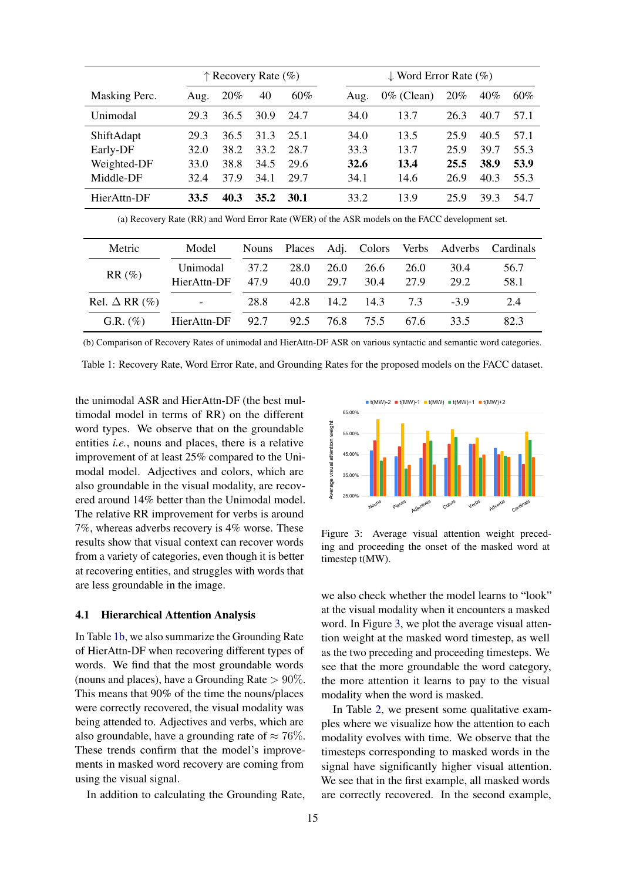<span id="page-4-1"></span>

|               | $\uparrow$ Recovery Rate (%) |      |      | $\downarrow$ Word Error Rate (%) |      |               |      |      |        |
|---------------|------------------------------|------|------|----------------------------------|------|---------------|------|------|--------|
| Masking Perc. | Aug.                         | 20%  | 40   | $60\%$                           | Aug. | $0\%$ (Clean) | 20%  | 40%  | $60\%$ |
| Unimodal      | 29.3                         | 36.5 | 30.9 | 24.7                             | 34.0 | 13.7          | 26.3 | 40.7 | 57.1   |
| ShiftAdapt    | 29.3                         | 36.5 | 31.3 | 25.1                             | 34.0 | 13.5          | 25.9 | 40.5 | 57.1   |
| Early-DF      | 32.0                         | 38.2 | 33.2 | 28.7                             | 33.3 | 13.7          | 25.9 | 39.7 | 55.3   |
| Weighted-DF   | 33.0                         | 38.8 | 34.5 | 29.6                             | 32.6 | 13.4          | 25.5 | 38.9 | 53.9   |
| Middle-DF     | 32.4                         | 37.9 | 34.1 | 29.7                             | 34.1 | 14.6          | 26.9 | 40.3 | 55.3   |
| HierAttn-DF   | 33.5                         | 40.3 | 35.2 | 30.1                             | 33.2 | 13.9          | 25.9 | 39.3 | 54.7   |

(a) Recovery Rate (RR) and Word Error Rate (WER) of the ASR models on the FACC development set.

| Metric                  | Model                                |              |              |              |                    |              |              | Nouns Places Adj. Colors Verbs Adverbs Cardinals |
|-------------------------|--------------------------------------|--------------|--------------|--------------|--------------------|--------------|--------------|--------------------------------------------------|
| $RR(\%)$                | Unimodal<br>HierAttn-DF              | 37.2<br>47.9 | 28.0<br>40.0 | 26.0<br>29.7 | 26.6<br>30.4       | 26.0<br>27.9 | 30.4<br>29.2 | 56.7<br>58.1                                     |
| Rel. $\Delta$ RR $(\%)$ | <b>Service</b>                       | 28.8         |              |              | 42.8 14.2 14.3 7.3 |              | $-39$        | 2.4                                              |
| G.R. $(\%)$             | HierAttn-DF 92.7 92.5 76.8 75.5 67.6 |              |              |              |                    |              | 33.5         | 82.3                                             |

(b) Comparison of Recovery Rates of unimodal and HierAttn-DF ASR on various syntactic and semantic word categories.

Table 1: Recovery Rate, Word Error Rate, and Grounding Rates for the proposed models on the FACC dataset.

the unimodal ASR and HierAttn-DF (the best multimodal model in terms of RR) on the different word types. We observe that on the groundable entities *i.e.*, nouns and places, there is a relative improvement of at least 25% compared to the Unimodal model. Adjectives and colors, which are also groundable in the visual modality, are recovered around 14% better than the Unimodal model. The relative RR improvement for verbs is around 7%, whereas adverbs recovery is 4% worse. These results show that visual context can recover words from a variety of categories, even though it is better at recovering entities, and struggles with words that are less groundable in the image.

#### <span id="page-4-0"></span>4.1 Hierarchical Attention Analysis

In Table [1b,](#page-4-1) we also summarize the Grounding Rate of HierAttn-DF when recovering different types of words. We find that the most groundable words (nouns and places), have a Grounding Rate  $> 90\%$ . This means that 90% of the time the nouns/places were correctly recovered, the visual modality was being attended to. Adjectives and verbs, which are also groundable, have a grounding rate of  $\approx 76\%$ . These trends confirm that the model's improvements in masked word recovery are coming from using the visual signal.

In addition to calculating the Grounding Rate,

<span id="page-4-2"></span> $t(MW)-2 \equiv t(MW)-1 \equiv t(MW) \equiv t(MW)+1 \equiv t(MW)+2$ 65.00<sup>%</sup> Average visual attention weight attention weight 55.00% 45.00% visual 35.00% Average 25.00% Nouns Places Adjectives Colors Verbs Adverbs Cardinals

Figure 3: Average visual attention weight preceding and proceeding the onset of the masked word at timestep t(MW).

we also check whether the model learns to "look" at the visual modality when it encounters a masked word. In Figure [3,](#page-4-2) we plot the average visual attention weight at the masked word timestep, as well as the two preceding and proceeding timesteps. We see that the more groundable the word category, the more attention it learns to pay to the visual modality when the word is masked.

In Table [2,](#page-5-1) we present some qualitative examples where we visualize how the attention to each modality evolves with time. We observe that the timesteps corresponding to masked words in the signal have significantly higher visual attention. We see that in the first example, all masked words are correctly recovered. In the second example,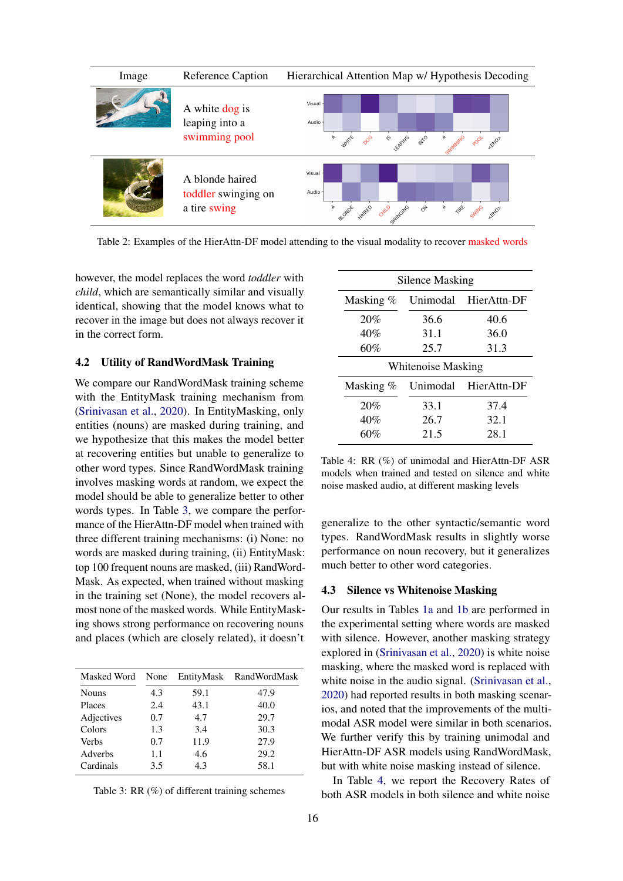<span id="page-5-1"></span>

Table 2: Examples of the HierAttn-DF model attending to the visual modality to recover masked words

however, the model replaces the word *toddler* with *child*, which are semantically similar and visually identical, showing that the model knows what to recover in the image but does not always recover it in the correct form.

### <span id="page-5-0"></span>4.2 Utility of RandWordMask Training

We compare our RandWordMask training scheme with the EntityMask training mechanism from [\(Srinivasan et al.,](#page-7-5) [2020\)](#page-7-5). In EntityMasking, only entities (nouns) are masked during training, and we hypothesize that this makes the model better at recovering entities but unable to generalize to other word types. Since RandWordMask training involves masking words at random, we expect the model should be able to generalize better to other words types. In Table [3,](#page-5-2) we compare the performance of the HierAttn-DF model when trained with three different training mechanisms: (i) None: no words are masked during training, (ii) EntityMask: top 100 frequent nouns are masked, (iii) RandWord-Mask. As expected, when trained without masking in the training set (None), the model recovers almost none of the masked words. While EntityMasking shows strong performance on recovering nouns and places (which are closely related), it doesn't

<span id="page-5-2"></span>

| Masked Word | None |      | EntityMask RandWordMask |
|-------------|------|------|-------------------------|
| Nouns       | 4.3  | 59.1 | 47.9                    |
| Places      | 2.4  | 43.1 | 40.0                    |
| Adjectives  | 0.7  | 4.7  | 29.7                    |
| Colors      | 1.3  | 3.4  | 30.3                    |
| Verbs       | 0.7  | 11.9 | 27.9                    |
| Adverbs     | 1.1  | 4.6  | 29.2                    |
| Cardinals   | 3.5  | 4.3  | 58.1                    |

Table 3: RR (%) of different training schemes

<span id="page-5-3"></span>

| Silence Masking    |          |             |  |  |  |  |
|--------------------|----------|-------------|--|--|--|--|
| Masking %          | Unimodal | HierAttn-DF |  |  |  |  |
| 20%                | 36.6     | 40.6        |  |  |  |  |
| 40%                | 31.1     | 36.0        |  |  |  |  |
| 60%                | 25.7     | 31.3        |  |  |  |  |
| Whitenoise Masking |          |             |  |  |  |  |
|                    |          |             |  |  |  |  |
| Masking %          | Unimodal | HierAttn-DF |  |  |  |  |
| 20%                | 33.1     | 37.4        |  |  |  |  |
| 40%                | 26.7     | 32.1        |  |  |  |  |

Table 4: RR (%) of unimodal and HierAttn-DF ASR models when trained and tested on silence and white noise masked audio, at different masking levels

generalize to the other syntactic/semantic word types. RandWordMask results in slightly worse performance on noun recovery, but it generalizes much better to other word categories.

### 4.3 Silence vs Whitenoise Masking

Our results in Tables [1a](#page-4-1) and [1b](#page-4-1) are performed in the experimental setting where words are masked with silence. However, another masking strategy explored in [\(Srinivasan et al.,](#page-7-5) [2020\)](#page-7-5) is white noise masking, where the masked word is replaced with white noise in the audio signal. [\(Srinivasan et al.,](#page-7-5) [2020\)](#page-7-5) had reported results in both masking scenarios, and noted that the improvements of the multimodal ASR model were similar in both scenarios. We further verify this by training unimodal and HierAttn-DF ASR models using RandWordMask, but with white noise masking instead of silence.

In Table [4,](#page-5-3) we report the Recovery Rates of both ASR models in both silence and white noise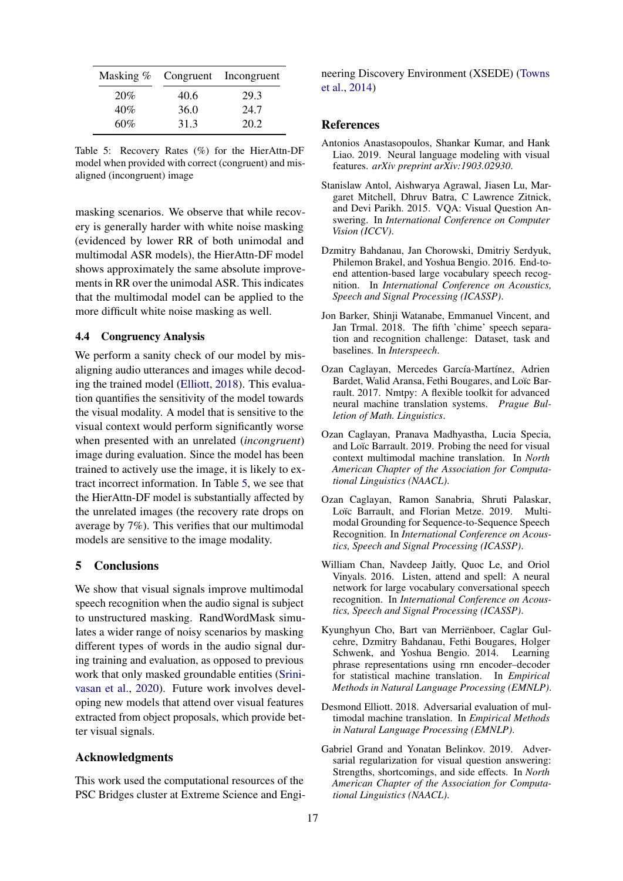<span id="page-6-12"></span>

|     |      | Masking % Congruent Incongruent |
|-----|------|---------------------------------|
| 20% | 40.6 | 29.3                            |
| 40% | 36.0 | 24.7                            |
| 60% | 31.3 | 20.2                            |

Table 5: Recovery Rates (%) for the HierAttn-DF model when provided with correct (congruent) and misaligned (incongruent) image

masking scenarios. We observe that while recovery is generally harder with white noise masking (evidenced by lower RR of both unimodal and multimodal ASR models), the HierAttn-DF model shows approximately the same absolute improvements in RR over the unimodal ASR. This indicates that the multimodal model can be applied to the more difficult white noise masking as well.

# <span id="page-6-5"></span>4.4 Congruency Analysis

We perform a sanity check of our model by misaligning audio utterances and images while decoding the trained model [\(Elliott,](#page-6-2) [2018\)](#page-6-2). This evaluation quantifies the sensitivity of the model towards the visual modality. A model that is sensitive to the visual context would perform significantly worse when presented with an unrelated (*incongruent*) image during evaluation. Since the model has been trained to actively use the image, it is likely to extract incorrect information. In Table [5,](#page-6-12) we see that the HierAttn-DF model is substantially affected by the unrelated images (the recovery rate drops on average by 7%). This verifies that our multimodal models are sensitive to the image modality.

#### 5 Conclusions

We show that visual signals improve multimodal speech recognition when the audio signal is subject to unstructured masking. RandWordMask simulates a wider range of noisy scenarios by masking different types of words in the audio signal during training and evaluation, as opposed to previous work that only masked groundable entities [\(Srini](#page-7-5)[vasan et al.,](#page-7-5) [2020\)](#page-7-5). Future work involves developing new models that attend over visual features extracted from object proposals, which provide better visual signals.

### Acknowledgments

This work used the computational resources of the PSC Bridges cluster at Extreme Science and Engineering Discovery Environment (XSEDE) [\(Towns](#page-7-15) [et al.,](#page-7-15) [2014\)](#page-7-15)

# References

- <span id="page-6-10"></span>Antonios Anastasopoulos, Shankar Kumar, and Hank Liao. 2019. Neural language modeling with visual features. *arXiv preprint arXiv:1903.02930*.
- <span id="page-6-0"></span>Stanislaw Antol, Aishwarya Agrawal, Jiasen Lu, Margaret Mitchell, Dhruv Batra, C Lawrence Zitnick, and Devi Parikh. 2015. VQA: Visual Question Answering. In *International Conference on Computer Vision (ICCV)*.
- <span id="page-6-7"></span>Dzmitry Bahdanau, Jan Chorowski, Dmitriy Serdyuk, Philemon Brakel, and Yoshua Bengio. 2016. End-toend attention-based large vocabulary speech recognition. In *International Conference on Acoustics, Speech and Signal Processing (ICASSP)*.
- <span id="page-6-6"></span>Jon Barker, Shinji Watanabe, Emmanuel Vincent, and Jan Trmal. 2018. The fifth 'chime' speech separation and recognition challenge: Dataset, task and baselines. In *Interspeech*.
- <span id="page-6-11"></span>Ozan Caglayan, Mercedes García-Martínez, Adrien Bardet, Walid Aransa, Fethi Bougares, and Loïc Barrault. 2017. Nmtpy: A flexible toolkit for advanced neural machine translation systems. *Prague Bulletion of Math. Linguistics*.
- <span id="page-6-4"></span>Ozan Caglayan, Pranava Madhyastha, Lucia Specia, and Loïc Barrault. 2019. Probing the need for visual context multimodal machine translation. In *North American Chapter of the Association for Computational Linguistics (NAACL)*.
- <span id="page-6-3"></span>Ozan Caglayan, Ramon Sanabria, Shruti Palaskar, Loïc Barrault, and Florian Metze. 2019. Multimodal Grounding for Sequence-to-Sequence Speech Recognition. In *International Conference on Acoustics, Speech and Signal Processing (ICASSP)*.
- <span id="page-6-8"></span>William Chan, Navdeep Jaitly, Quoc Le, and Oriol Vinyals. 2016. Listen, attend and spell: A neural network for large vocabulary conversational speech recognition. In *International Conference on Acoustics, Speech and Signal Processing (ICASSP)*.
- <span id="page-6-9"></span>Kyunghyun Cho, Bart van Merriënboer, Caglar Gulcehre, Dzmitry Bahdanau, Fethi Bougares, Holger Schwenk, and Yoshua Bengio. 2014. Learning phrase representations using rnn encoder–decoder for statistical machine translation. In *Empirical Methods in Natural Language Processing (EMNLP)*.
- <span id="page-6-2"></span>Desmond Elliott. 2018. Adversarial evaluation of multimodal machine translation. In *Empirical Methods in Natural Language Processing (EMNLP)*.
- <span id="page-6-1"></span>Gabriel Grand and Yonatan Belinkov. 2019. Adversarial regularization for visual question answering: Strengths, shortcomings, and side effects. In *North American Chapter of the Association for Computational Linguistics (NAACL)*.